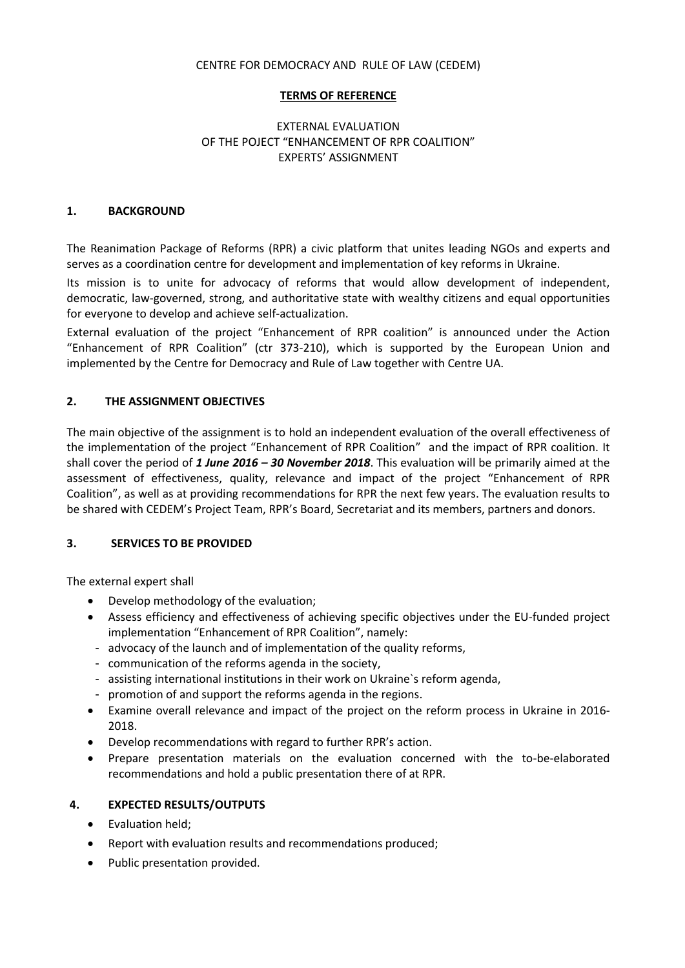### CENTRE FOR DEMOCRACY AND RULE OF LAW (CEDEM)

#### **TERMS OF REFERENCE**

# EXTERNAL EVALUATION OF THE POJECT "ENHANCEMENT OF RPR COALITION" EXPERTS' ASSIGNMENT

#### **1. BACKGROUND**

The Reanimation Package of Reforms (RPR) a civic platform that unites leading NGOs and experts and serves as a coordination centre for development and implementation of key reforms in Ukraine.

Its mission is to unite for advocacy of reforms that would allow development of independent, democratic, law-governed, strong, and authoritative state with wealthy citizens and equal opportunities for everyone to develop and achieve self-actualization.

External evaluation of the project "Enhancement of RPR coalition" is announced under the Action "Enhancement of RPR Coalition" (ctr 373-210), which is supported by the European Union and implemented by the Centre for Democracy and Rule of Law together with Centre UA.

### **2. THE ASSIGNMENT OBJECTIVES**

The main objective of the assignment is to hold an independent evaluation of the overall effectiveness of the implementation of the project "Enhancement of RPR Coalition" and the impact of RPR coalition. It shall cover the period of *1 June 2016 – 30 November 2018*. This evaluation will be primarily aimed at the assessment of effectiveness, quality, relevance and impact of the project "Enhancement of RPR Coalition", as well as at providing recommendations for RPR the next few years. The evaluation results to be shared with CEDEM's Project Team, RPR's Board, Secretariat and its members, partners and donors.

### **3. SERVICES TO BE PROVIDED**

The external expert shall

- Develop methodology of the evaluation;
- Assess efficiency and effectiveness of achieving specific objectives under the EU-funded project implementation "Enhancement of RPR Coalition", namely:
- advocacy of the launch and of implementation of the quality reforms,
- communication of the reforms agenda in the society,
- assisting international institutions in their work on Ukraine`s reform agenda,
- promotion of and support the reforms agenda in the regions.
- Examine overall relevance and impact of the project on the reform process in Ukraine in 2016- 2018.
- Develop recommendations with regard to further RPR's action.
- Prepare presentation materials on the evaluation concerned with the to-be-elaborated recommendations and hold a public presentation there of at RPR.

### **4. EXPECTED RESULTS/OUTPUTS**

- Evaluation held;
- Report with evaluation results and recommendations produced;
- Public presentation provided.